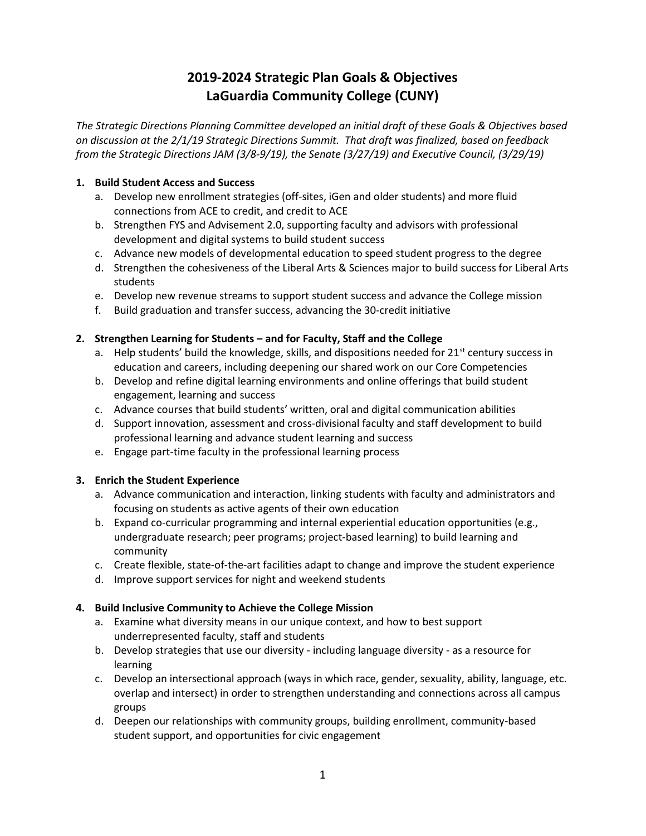# 2019-2024 Strategic Plan Goals & Objectives LaGuardia Community College (CUNY)

The Strategic Directions Planning Committee developed an initial draft of these Goals & Objectives based on discussion at the 2/1/19 Strategic Directions Summit. That draft was finalized, based on feedback from the Strategic Directions JAM (3/8-9/19), the Senate (3/27/19) and Executive Council, (3/29/19)

#### 1. Build Student Access and Success

- a. Develop new enrollment strategies (off-sites, iGen and older students) and more fluid connections from ACE to credit, and credit to ACE
- b. Strengthen FYS and Advisement 2.0, supporting faculty and advisors with professional development and digital systems to build student success
- c. Advance new models of developmental education to speed student progress to the degree
- d. Strengthen the cohesiveness of the Liberal Arts & Sciences major to build success for Liberal Arts students
- e. Develop new revenue streams to support student success and advance the College mission
- f. Build graduation and transfer success, advancing the 30-credit initiative

## 2. Strengthen Learning for Students – and for Faculty, Staff and the College

- a. Help students' build the knowledge, skills, and dispositions needed for  $21<sup>st</sup>$  century success in education and careers, including deepening our shared work on our Core Competencies
- b. Develop and refine digital learning environments and online offerings that build student engagement, learning and success
- c. Advance courses that build students' written, oral and digital communication abilities
- d. Support innovation, assessment and cross-divisional faculty and staff development to build professional learning and advance student learning and success
- e. Engage part-time faculty in the professional learning process

## 3. Enrich the Student Experience

- a. Advance communication and interaction, linking students with faculty and administrators and focusing on students as active agents of their own education
- b. Expand co-curricular programming and internal experiential education opportunities (e.g., undergraduate research; peer programs; project-based learning) to build learning and community
- c. Create flexible, state-of-the-art facilities adapt to change and improve the student experience
- d. Improve support services for night and weekend students

### 4. Build Inclusive Community to Achieve the College Mission

- a. Examine what diversity means in our unique context, and how to best support underrepresented faculty, staff and students
- b. Develop strategies that use our diversity including language diversity as a resource for learning
- c. Develop an intersectional approach (ways in which race, gender, sexuality, ability, language, etc. overlap and intersect) in order to strengthen understanding and connections across all campus groups
- d. Deepen our relationships with community groups, building enrollment, community-based student support, and opportunities for civic engagement